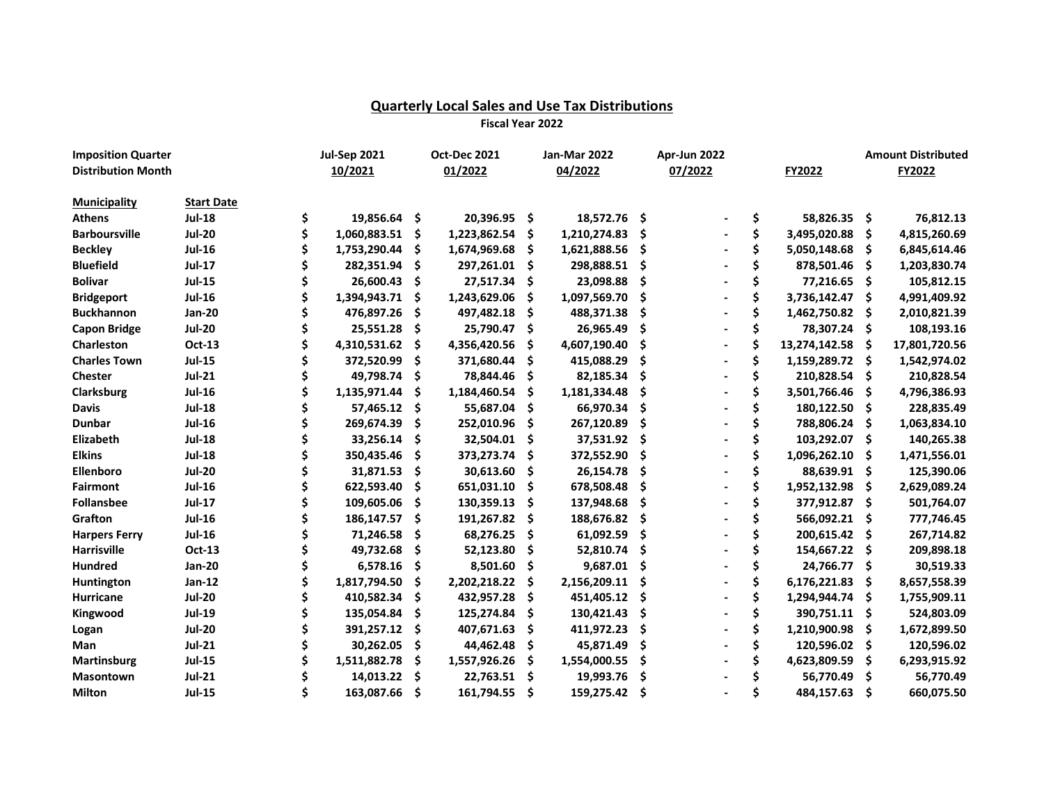## **Quarterly Local Sales and Use Tax Distributions**

**Fiscal Year 2022**

| <b>Imposition Quarter</b>            |                                    | <b>Jul-Sep 2021</b> |     | <b>Oct-Dec 2021</b> |     | Jan-Mar 2022 |     | Apr-Jun 2022 |    |                 |     | <b>Amount Distributed</b> |
|--------------------------------------|------------------------------------|---------------------|-----|---------------------|-----|--------------|-----|--------------|----|-----------------|-----|---------------------------|
| <b>Distribution Month</b>            |                                    | 10/2021             |     | 01/2022             |     | 04/2022      |     | 07/2022      |    | FY2022          |     | FY2022                    |
|                                      |                                    |                     |     |                     |     |              |     |              |    |                 |     |                           |
| <b>Municipality</b><br><b>Athens</b> | <b>Start Date</b><br><b>Jul-18</b> |                     |     |                     |     |              |     |              |    |                 |     |                           |
|                                      |                                    | \$<br>19,856.64 \$  |     | 20,396.95 \$        |     | 18,572.76 \$ |     |              | \$ | 58,826.35 \$    |     | 76,812.13                 |
| <b>Barboursville</b>                 | <b>Jul-20</b>                      | 1,060,883.51        | \$  | 1,223,862.54        | \$  | 1,210,274.83 | Ś   |              | \$ | 3,495,020.88    | \$. | 4,815,260.69              |
| <b>Beckley</b>                       | <b>Jul-16</b>                      | 1,753,290.44        | S   | 1,674,969.68        | \$  | 1,621,888.56 | Ś   |              | \$ | 5,050,148.68    | S   | 6,845,614.46              |
| <b>Bluefield</b>                     | <b>Jul-17</b>                      | 282,351.94          |     | 297,261.01          | .s  | 298,888.51   | Ś   |              |    | 878,501.46      | -S  | 1,203,830.74              |
| <b>Bolivar</b>                       | <b>Jul-15</b>                      | 26,600.43           | S   | 27,517.34           | -S  | 23,098.88    | Ś   |              |    | 77,216.65 \$    |     | 105,812.15                |
| <b>Bridgeport</b>                    | <b>Jul-16</b>                      | 1,394,943.71        |     | 1,243,629.06        | S   | 1,097,569.70 | Ś   |              | Ś  | 3,736,142.47    | S   | 4,991,409.92              |
| <b>Buckhannon</b>                    | <b>Jan-20</b>                      | 476,897.26          | S   | 497,482.18          | S   | 488,371.38   | \$  |              |    | 1,462,750.82    | S   | 2,010,821.39              |
| <b>Capon Bridge</b>                  | <b>Jul-20</b>                      | 25,551.28           | S   | 25,790.47           | -S  | 26,965.49    | .\$ |              |    | 78,307.24 \$    |     | 108,193.16                |
| Charleston                           | Oct-13                             | 4,310,531.62        | S   | 4,356,420.56        | S   | 4,607,190.40 | \$  |              | \$ | 13,274,142.58   | -S  | 17,801,720.56             |
| <b>Charles Town</b>                  | <b>Jul-15</b>                      | 372,520.99          | Ś   | 371,680.44          | S   | 415,088.29   | \$  |              | \$ | 1,159,289.72 \$ |     | 1,542,974.02              |
| <b>Chester</b>                       | $Jul-21$                           | 49,798.74           | \$  | 78,844.46           | .\$ | 82,185.34    | \$  |              | \$ | 210,828.54      | -\$ | 210,828.54                |
| Clarksburg                           | <b>Jul-16</b>                      | 1,135,971.44        |     | 1,184,460.54        | Ŝ   | 1,181,334.48 | Ś   |              | Ś  | 3,501,766.46    | \$  | 4,796,386.93              |
| <b>Davis</b>                         | <b>Jul-18</b>                      | 57,465.12           | \$  | 55,687.04           | S   | 66,970.34    | Ś   |              |    | 180,122.50      | \$  | 228,835.49                |
| <b>Dunbar</b>                        | <b>Jul-16</b>                      | 269,674.39          | \$  | 252,010.96          | S   | 267,120.89   | \$  |              |    | 788,806.24      | Ŝ   | 1,063,834.10              |
| Elizabeth                            | <b>Jul-18</b>                      | 33,256.14           | \$  | 32,504.01           | .s  | 37,531.92    | \$  |              |    | 103,292.07      | \$. | 140,265.38                |
| <b>Elkins</b>                        | <b>Jul-18</b>                      | 350,435.46          | \$, | 373,273.74          | S   | 372,552.90   | \$. |              | \$ | 1,096,262.10    | S   | 1,471,556.01              |
| Ellenboro                            | <b>Jul-20</b>                      | 31,871.53           | S   | 30,613.60           | S   | 26,154.78    | \$. |              | \$ | 88,639.91 \$    |     | 125,390.06                |
| <b>Fairmont</b>                      | <b>Jul-16</b>                      | 622,593.40          | S   | 651,031.10          | S   | 678,508.48   | Ŝ   |              | Ś  | 1,952,132.98    | -S  | 2,629,089.24              |
| <b>Follansbee</b>                    | <b>Jul-17</b>                      | 109,605.06          |     | 130,359.13          | \$. | 137,948.68   | Ś   |              |    | 377,912.87      | -\$ | 501,764.07                |
| Grafton                              | <b>Jul-16</b>                      | 186,147.57          | S   | 191,267.82          | S   | 188,676.82   | Ś   |              |    | 566,092.21      | S   | 777,746.45                |
| <b>Harpers Ferry</b>                 | <b>Jul-16</b>                      | 71,246.58           |     | 68,276.25           | S   | 61,092.59    | S   |              |    | 200,615.42      | S   | 267,714.82                |
| Harrisville                          | <b>Oct-13</b>                      | 49,732.68           | \$  | 52,123.80           | S   | 52,810.74    | \$  |              |    | 154,667.22      | .s  | 209,898.18                |
| <b>Hundred</b>                       | <b>Jan-20</b>                      | 6,578.16            | \$  | 8,501.60            | \$. | 9,687.01     | \$  |              |    | 24,766.77       | S   | 30,519.33                 |
| Huntington                           | <b>Jan-12</b>                      | 1,817,794.50        | S   | 2,202,218.22        | S   | 2,156,209.11 | \$. |              | \$ | 6,176,221.83    | .S  | 8,657,558.39              |
| Hurricane                            | <b>Jul-20</b>                      | 410,582.34          |     | 432,957.28          | S   | 451,405.12   | .\$ |              | \$ | 1,294,944.74    | .S  | 1,755,909.11              |
|                                      | <b>Jul-19</b>                      | 135,054.84          |     | 125,274.84          | S   | 130,421.43   | \$  |              | Ś  | 390,751.11      |     | 524,803.09                |
| Kingwood                             |                                    |                     |     |                     |     |              | Ś   |              | Ś  |                 | -S  |                           |
| Logan                                | <b>Jul-20</b>                      | 391,257.12          |     | 407,671.63          | S   | 411,972.23   |     |              |    | 1,210,900.98    | \$  | 1,672,899.50              |
| Man                                  | <b>Jul-21</b>                      | 30,262.05           | S   | 44,462.48           | S   | 45,871.49    | S   |              |    | 120,596.02      | .s  | 120,596.02                |
| Martinsburg                          | <b>Jul-15</b>                      | 1,511,882.78        | Ś   | 1,557,926.26        | Ś   | 1,554,000.55 | Ś   |              |    | 4,623,809.59    | Ŝ   | 6,293,915.92              |
| <b>Masontown</b>                     | <b>Jul-21</b>                      | 14,013.22           | Ś   | 22,763.51           | .s  | 19,993.76    | \$  |              |    | 56,770.49       | \$  | 56,770.49                 |
| <b>Milton</b>                        | <b>Jul-15</b>                      | 163,087.66          | \$. | 161,794.55          | -\$ | 159,275.42   | \$  |              | Ś  | 484,157.63      | \$  | 660,075.50                |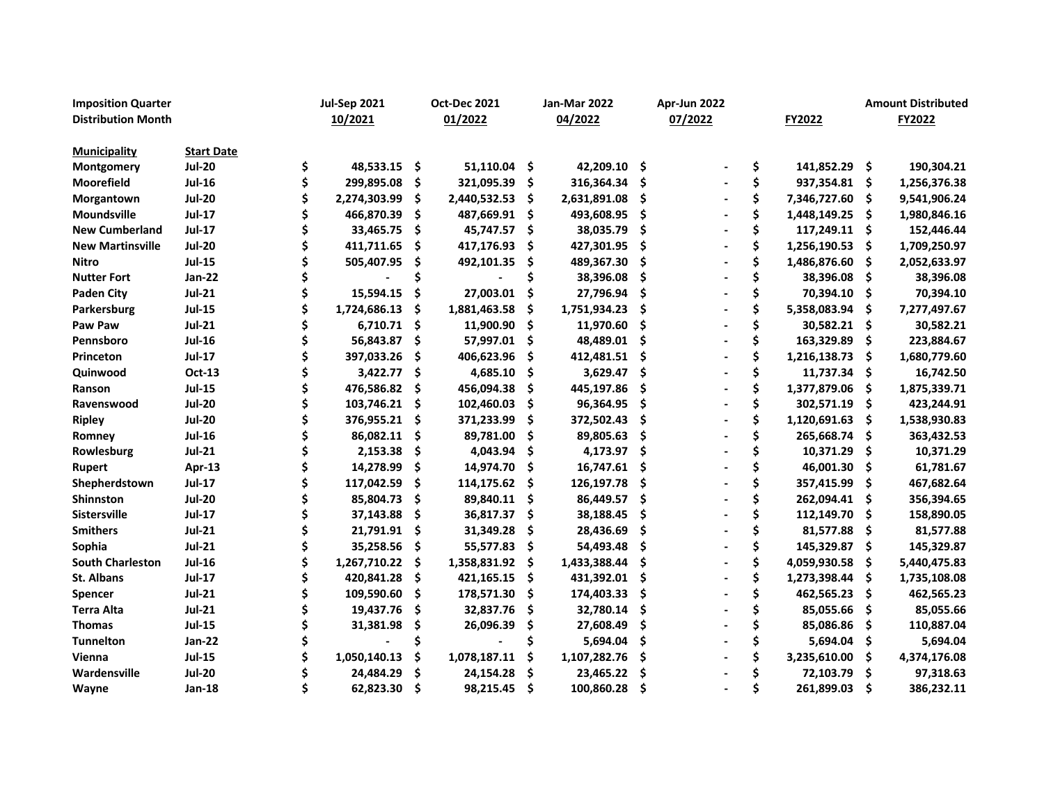| <b>Imposition Quarter</b> |                   | <b>Jul-Sep 2021</b> |     | <b>Oct-Dec 2021</b> |     | Jan-Mar 2022 |      | Apr-Jun 2022 |    |                 |      | <b>Amount Distributed</b> |
|---------------------------|-------------------|---------------------|-----|---------------------|-----|--------------|------|--------------|----|-----------------|------|---------------------------|
| <b>Distribution Month</b> |                   | 10/2021             |     | 01/2022             |     | 04/2022      |      | 07/2022      |    | FY2022          |      | FY2022                    |
| <b>Municipality</b>       | <b>Start Date</b> |                     |     |                     |     |              |      |              |    |                 |      |                           |
| Montgomery                | <b>Jul-20</b>     | \$<br>48,533.15 \$  |     | $51,110.04$ \$      |     | 42,209.10 \$ |      |              | \$ | 141,852.29 \$   |      | 190,304.21                |
| Moorefield                | <b>Jul-16</b>     | 299,895.08          | \$  | 321,095.39          | \$  | 316,364.34   | -\$  |              | \$ | 937,354.81 \$   |      | 1,256,376.38              |
| Morgantown                | <b>Jul-20</b>     | 2,274,303.99        | \$  | 2,440,532.53        | .\$ | 2,631,891.08 | - \$ |              | \$ | 7,346,727.60 \$ |      | 9,541,906.24              |
| <b>Moundsville</b>        | <b>Jul-17</b>     | 466,870.39          | \$  | 487,669.91          | -\$ | 493,608.95   | -\$  |              | \$ | 1,448,149.25    | -\$  | 1,980,846.16              |
| <b>New Cumberland</b>     | <b>Jul-17</b>     | 33,465.75           | \$. | 45,747.57 \$        |     | 38,035.79    | - \$ |              | \$ | 117,249.11 \$   |      | 152,446.44                |
| <b>New Martinsville</b>   | <b>Jul-20</b>     | 411,711.65          | \$  | 417,176.93          | \$. | 427,301.95   | -Ś   |              | \$ | 1,256,190.53    | -\$  | 1,709,250.97              |
| Nitro                     | <b>Jul-15</b>     | 505,407.95          | \$  | 492,101.35          | -S  | 489,367.30   | .\$  |              | \$ | 1,486,876.60    | S    | 2,052,633.97              |
| <b>Nutter Fort</b>        | <b>Jan-22</b>     |                     |     |                     | Ś   | 38,396.08    | - \$ |              | Ś  | 38,396.08       | - \$ | 38,396.08                 |
| <b>Paden City</b>         | $Jul-21$          | 15,594.15           | \$  | 27,003.01           | \$  | 27,796.94    | \$   |              | \$ | 70,394.10       | -\$  | 70,394.10                 |
| Parkersburg               | <b>Jul-15</b>     | 1,724,686.13        | Ś   | 1,881,463.58        | \$. | 1,751,934.23 | \$   |              | Ś  | 5,358,083.94    | -\$  | 7,277,497.67              |
| Paw Paw                   | <b>Jul-21</b>     | 6,710.71            | Ś   | 11,900.90           | \$. | 11,970.60    | \$   |              | Ś  | 30,582.21 \$    |      | 30,582.21                 |
| Pennsboro                 | <b>Jul-16</b>     | 56,843.87           | \$. | 57,997.01           | \$  | 48,489.01    | -\$  |              | \$ | 163,329.89      | -S   | 223,884.67                |
| Princeton                 | <b>Jul-17</b>     | 397,033.26          | \$  | 406,623.96          | \$. | 412,481.51   | - \$ |              | \$ | 1,216,138.73    | S    | 1,680,779.60              |
| Quinwood                  | <b>Oct-13</b>     | 3,422.77            | \$  | 4,685.10            | \$  | 3,629.47     | - \$ |              | \$ | 11,737.34       | -\$  | 16,742.50                 |
| Ranson                    | <b>Jul-15</b>     | 476,586.82          | Ś   | 456,094.38          | S   | 445,197.86   | Ś    |              | \$ | 1,377,879.06    | - S  | 1,875,339.71              |
| Ravenswood                | <b>Jul-20</b>     | 103,746.21          | Ś   | 102,460.03          | Ŝ   | 96,364.95    | -Ś   |              | \$ | 302,571.19      | -S   | 423,244.91                |
| <b>Ripley</b>             | <b>Jul-20</b>     | 376,955.21          | S   | 371,233.99          | \$  | 372,502.43   | \$.  |              | \$ | 1,120,691.63    | \$   | 1,538,930.83              |
| Romney                    | <b>Jul-16</b>     | 86,082.11           | Ś   | 89,781.00           | S   | 89,805.63    | - \$ |              | Ś  | 265,668.74      | S    | 363,432.53                |
| Rowlesburg                | $Jul-21$          | 2,153.38            | \$  | 4,043.94            | .s  | 4,173.97 \$  |      |              |    | 10,371.29       | S    | 10,371.29                 |
| <b>Rupert</b>             | Apr-13            | 14,278.99           | S   | 14,974.70           | S   | 16,747.61    | - \$ |              |    | 46,001.30       | s    | 61,781.67                 |
| Shepherdstown             | <b>Jul-17</b>     | 117,042.59          |     | 114,175.62          | .s  | 126,197.78   | -\$  |              |    | 357,415.99      | s    | 467,682.64                |
| Shinnston                 | <b>Jul-20</b>     | 85,804.73           | \$  | 89,840.11           | S   | 86,449.57    | -\$  |              |    | 262,094.41      | S    | 356,394.65                |
| <b>Sistersville</b>       | <b>Jul-17</b>     | 37,143.88           | S   | 36,817.37           | .s  | 38,188.45    | \$.  |              |    | 112,149.70      | S    | 158,890.05                |
| <b>Smithers</b>           | $Jul-21$          | 21,791.91           | \$  | 31,349.28           | .S  | 28,436.69    | . Ś  |              |    | 81,577.88       | -\$  | 81,577.88                 |
| Sophia                    | <b>Jul-21</b>     | 35,258.56           | S   | 55,577.83           | S   | 54,493.48    | Ŝ    |              | Ś  | 145,329.87      | -S   | 145,329.87                |
| <b>South Charleston</b>   | <b>Jul-16</b>     | 1,267,710.22        |     | 1,358,831.92        | .s  | 1,433,388.44 | Ś    |              | \$ | 4,059,930.58    | S    | 5,440,475.83              |
| St. Albans                | <b>Jul-17</b>     | 420,841.28          | Ś   | 421,165.15          | \$  | 431,392.01   | \$   |              | \$ | 1,273,398.44    | \$   | 1,735,108.08              |
| <b>Spencer</b>            | <b>Jul-21</b>     | 109,590.60          |     | 178,571.30          | S   | 174,403.33   | \$   |              |    | 462,565.23      | S    | 462,565.23                |
| <b>Terra Alta</b>         | <b>Jul-21</b>     | 19,437.76           | Ś   | 32,837.76           | S   | 32,780.14    | Ŝ.   |              |    | 85,055.66       | .s   | 85,055.66                 |
| <b>Thomas</b>             | <b>Jul-15</b>     | 31,381.98           |     | 26,096.39           | S   | 27,608.49    | \$   |              | Ś  | 85,086.86       | -S   | 110,887.04                |
| <b>Tunnelton</b>          | <b>Jan-22</b>     |                     |     |                     |     | 5,694.04     | Ŝ.   |              | \$ | 5,694.04        | -S   | 5,694.04                  |
| Vienna                    | <b>Jul-15</b>     | 1,050,140.13        |     | 1,078,187.11        | \$  | 1,107,282.76 | \$   |              | \$ | 3,235,610.00    | \$   | 4,374,176.08              |
| Wardensville              | <b>Jul-20</b>     | 24,484.29           |     | 24,154.28           | \$. | 23,465.22    | -\$  |              |    | 72,103.79       | S    | 97,318.63                 |
| Wayne                     | <b>Jan-18</b>     | 62,823.30           | Ś   | 98,215.45           | Ŝ.  | 100,860.28   | Ś    |              | Ś  | 261,899.03      | Ŝ    | 386,232.11                |